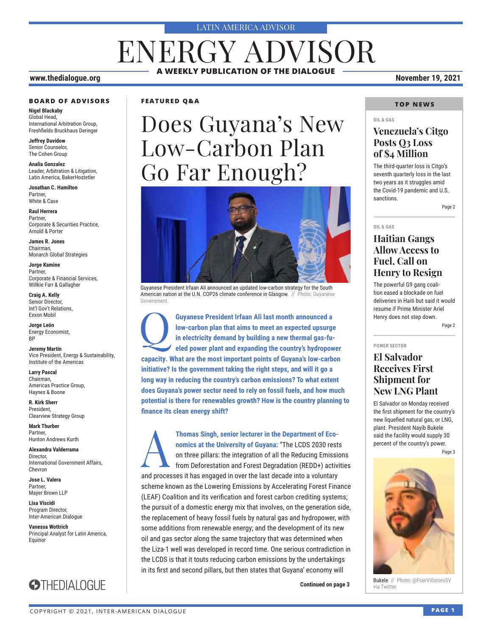#### LATIN AMERICA ADVISOR

## ENERGY ADVISOR **A WEEKLY PUBLICATION OF THE DIALOGUE**

#### **www.thedialogue.org November 19, 2021**

#### **BOARD OF ADVISORS**

**Nigel Blackaby** Global Head, International Arbitration Group, Freshfields Bruckhaus Deringer

**Jeffrey Davidow** Senior Counselor, The Cohen Group

**Analia Gonzalez** Leader, Arbitration & Litigation, Latin America, BakerHostetler

**Jonathan C. Hamilton** Partner, White & Case

**Raul Herrera** Partner, Corporate & Securities Practice, Arnold & Porter

**James R. Jones** Chairman, Monarch Global Strategies

**Jorge Kamine** Partner, Corporate & Financial Services, Willkie Farr & Gallagher

**Craig A. Kelly** Senior Director, Int'l Gov't Relations, Exxon Mobil

**Jorge León** Energy Economist, BP

**Jeremy Martin** Vice President, Energy & Sustainability, Institute of the Americas

**Larry Pascal** Chairman, Americas Practice Group, Haynes & Boone

**R. Kirk Sherr** President, Clearview Strategy Group

**Mark Thurber** Partner, Hunton Andrews Kurth

**Alexandra Valderrama** Director, International Government Affairs, Chevron

**Jose L. Valera** Partner, Mayer Brown LLP

**Lisa Viscidi** Program Director, Inter-American Dialogue

**Vanessa Wottrich** Principal Analyst for Latin America, Equinor



#### **FEATURED Q&A**

# Does Guyana's New Low-Carbon Plan Go Far Enough?



Guyanese President Irfaan Ali announced an updated low-carbon strategy for the South American nation at the U.N. COP26 climate conference in Glasgow. // Photo: Guyanese Government.

Guyanese President Irfaan Ali last month announced a low-carbon plan that aims to meet an expected upsurge in electricity demand by building a new thermal gas-fu-<br>eled power plant and expanding the country's hydropow **low-carbon plan that aims to meet an expected upsurge in electricity demand by building a new thermal gas-fueled power plant and expanding the country's hydropower capacity. What are the most important points of Guyana's low-carbon initiative? Is the government taking the right steps, and will it go a long way in reducing the country's carbon emissions? To what extent does Guyana's power sector need to rely on fossil fuels, and how much potential is there for renewables growth? How is the country planning to finance its clean energy shift?**

A**Thomas Singh, senior lecturer in the Department of Economics at the University of Guyana:** "The LCDS 2030 rests on three pillars: the integration of all the Reducing Emissions from Deforestation and Forest Degradation (REDD+) activities and processes it has engaged in over the last decade into a voluntary scheme known as the Lowering Emissions by Accelerating Forest Finance (LEAF) Coalition and its verification and forest carbon crediting systems; the pursuit of a domestic energy mix that involves, on the generation side, the replacement of heavy fossil fuels by natural gas and hydropower, with some additions from renewable energy; and the development of its new oil and gas sector along the same trajectory that was determined when the Liza-1 well was developed in record time. One serious contradiction in the LCDS is that it touts reducing carbon emissions by the undertakings in its first and second pillars, but then states that Guyana' economy will

**Continued on page 3** and via Twitter.

#### **TOP NEWS**

#### **OIL & GAS**

#### **Venezuela's Citgo Posts Q3 Loss of \$4 Million**

The third-quarter loss is Citgo's seventh quarterly loss in the last two years as it struggles amid the Covid-19 pandemic and U.S. sanctions.

Page 2

#### **OIL & GAS**

### **Haitian Gangs Allow Access to Fuel, Call on Henry to Resign**

The powerful G9 gang coalition eased a blockade on fuel deliveries in Haiti but said it would resume if Prime Minister Ariel Henry does not step down.

Page 2

#### **POWER SECTOR**

#### **El Salvador Receives First Shipment for New LNG Plant**

El Salvador on Monday received the first shipment for the country's new liquefied natural gas, or LNG, plant. President Nayib Bukele said the facility would supply 30 percent of the country's power.

Page 3



Bukele // Photo: @FranVillatoroSV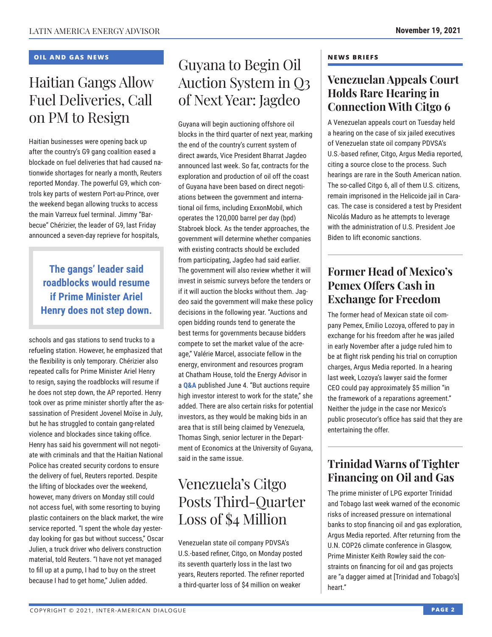#### **OIL AND GAS NEWS**

## Haitian Gangs Allow Fuel Deliveries, Call on PM to Resign

Haitian businesses were opening back up after the country's G9 gang coalition eased a blockade on fuel deliveries that had caused nationwide shortages for nearly a month, Reuters reported Monday. The powerful G9, which controls key parts of western Port-au-Prince, over the weekend began allowing trucks to access the main Varreux fuel terminal. Jimmy "Barbecue" Chérizier, the leader of G9, last Friday announced a seven-day reprieve for hospitals,

### **The gangs' leader said roadblocks would resume if Prime Minister Ariel Henry does not step down.**

schools and gas stations to send trucks to a refueling station. However, he emphasized that the flexibility is only temporary. Chérizier also repeated calls for Prime Minister Ariel Henry to resign, saying the roadblocks will resume if he does not step down, the AP reported. Henry took over as prime minister shortly after the assassination of President Jovenel Moïse in July, but he has struggled to contain gang-related violence and blockades since taking office. Henry has said his government will not negotiate with criminals and that the Haitian National Police has created security cordons to ensure the delivery of fuel, Reuters reported. Despite the lifting of blockades over the weekend, however, many drivers on Monday still could not access fuel, with some resorting to buying plastic containers on the black market, the wire service reported. "I spent the whole day yesterday looking for gas but without success," Oscar Julien, a truck driver who delivers construction material, told Reuters. "I have not yet managed to fill up at a pump, I had to buy on the street because I had to get home," Julien added.

## Guyana to Begin Oil Auction System in Q3 of Next Year: Jagdeo

Guyana will begin auctioning offshore oil blocks in the third quarter of next year, marking the end of the country's current system of direct awards, Vice President Bharrat Jagdeo announced last week. So far, contracts for the exploration and production of oil off the coast of Guyana have been based on direct negotiations between the government and international oil firms, including ExxonMobil, which operates the 120,000 barrel per day (bpd) Stabroek block. As the tender approaches, the government will determine whether companies with existing contracts should be excluded from participating, Jagdeo had said earlier. The government will also review whether it will invest in seismic surveys before the tenders or if it will auction the blocks without them. Jagdeo said the government will make these policy decisions in the following year. "Auctions and open bidding rounds tend to generate the best terms for governments because bidders compete to set the market value of the acreage," Valérie Marcel, associate fellow in the energy, environment and resources program [at Chath](http://www.thedialogue.org/wp-content/uploads/2021/06/LEA210604.pdf)am House, told the Energy Advisor in a **Q&A** published June 4. "But auctions require high investor interest to work for the state," she added. There are also certain risks for potential investors, as they would be making bids in an area that is still being claimed by Venezuela, Thomas Singh, senior lecturer in the Department of Economics at the University of Guyana, said in the same issue.

## Venezuela's Citgo Posts Third-Quarter Loss of \$4 Million

Venezuelan state oil company PDVSA's U.S.-based refiner, Citgo, on Monday posted its seventh quarterly loss in the last two years, Reuters reported. The refiner reported a third-quarter loss of \$4 million on weaker

#### **NEWS BRIEFS**

### **Venezuelan Appeals Court Holds Rare Hearing in Connection With Citgo 6**

A Venezuelan appeals court on Tuesday held a hearing on the case of six jailed executives of Venezuelan state oil company PDVSA's U.S.-based refiner, Citgo, Argus Media reported, citing a source close to the process. Such hearings are rare in the South American nation. The so-called Citgo 6, all of them U.S. citizens, remain imprisoned in the Helicoide jail in Caracas. The case is considered a test by President Nicolás Maduro as he attempts to leverage with the administration of U.S. President Joe Biden to lift economic sanctions.

## **Former Head of Mexico's Pemex Offers Cash in Exchange for Freedom**

The former head of Mexican state oil company Pemex, Emilio Lozoya, offered to pay in exchange for his freedom after he was jailed in early November after a judge ruled him to be at flight risk pending his trial on corruption charges, Argus Media reported. In a hearing last week, Lozoya's lawyer said the former CEO could pay approximately \$5 million "in the framework of a reparations agreement." Neither the judge in the case nor Mexico's public prosecutor's office has said that they are entertaining the offer.

### **Trinidad Warns of Tighter Financing on Oil and Gas**

The prime minister of LPG exporter Trinidad and Tobago last week warned of the economic risks of increased pressure on international banks to stop financing oil and gas exploration, Argus Media reported. After returning from the U.N. COP26 climate conference in Glasgow, Prime Minister Keith Rowley said the constraints on financing for oil and gas projects are "a dagger aimed at [Trinidad and Tobago's] heart."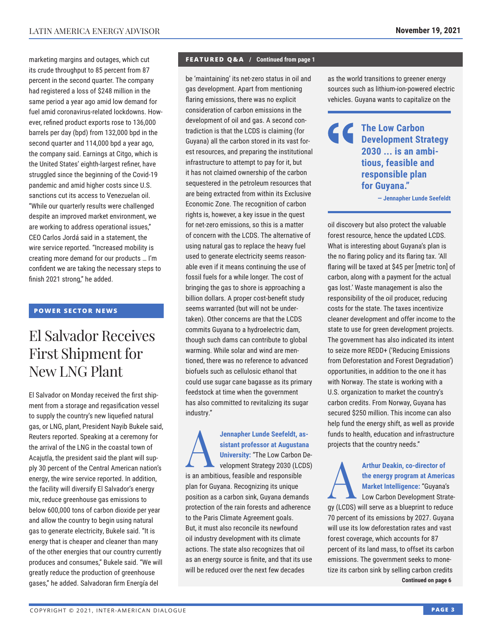marketing margins and outages, which cut its crude throughput to 85 percent from 87 percent in the second quarter. The company had registered a loss of \$248 million in the same period a year ago amid low demand for fuel amid coronavirus-related lockdowns. However, refined product exports rose to 136,000 barrels per day (bpd) from 132,000 bpd in the second quarter and 114,000 bpd a year ago, the company said. Earnings at Citgo, which is the United States' eighth-largest refiner, have struggled since the beginning of the Covid-19 pandemic and amid higher costs since U.S. sanctions cut its access to Venezuelan oil. "While our quarterly results were challenged despite an improved market environment, we are working to address operational issues," CEO Carlos Jordá said in a statement, the wire service reported. "Increased mobility is creating more demand for our products … I'm confident we are taking the necessary steps to finish 2021 strong," he added.

#### **POWER SECTOR NEWS**

## El Salvador Receives First Shipment for New LNG Plant

El Salvador on Monday received the first shipment from a storage and regasification vessel to supply the country's new liquefied natural gas, or LNG, plant, President Nayib Bukele said, Reuters reported. Speaking at a ceremony for the arrival of the LNG in the coastal town of Acajutla, the president said the plant will supply 30 percent of the Central American nation's energy, the wire service reported. In addition, the facility will diversify El Salvador's energy mix, reduce greenhouse gas emissions to below 600,000 tons of carbon dioxide per year and allow the country to begin using natural gas to generate electricity, Bukele said. "It is energy that is cheaper and cleaner than many of the other energies that our country currently produces and consumes," Bukele said. "We will greatly reduce the production of greenhouse gases," he added. Salvadoran firm Energía del

#### **FEATURED Q&A / Continued from page 1**

be 'maintaining' its net-zero status in oil and gas development. Apart from mentioning flaring emissions, there was no explicit consideration of carbon emissions in the development of oil and gas. A second contradiction is that the LCDS is claiming (for Guyana) all the carbon stored in its vast forest resources, and preparing the institutional infrastructure to attempt to pay for it, but it has not claimed ownership of the carbon sequestered in the petroleum resources that are being extracted from within its Exclusive Economic Zone. The recognition of carbon rights is, however, a key issue in the quest for net-zero emissions, so this is a matter of concern with the LCDS. The alternative of using natural gas to replace the heavy fuel used to generate electricity seems reasonable even if it means continuing the use of fossil fuels for a while longer. The cost of bringing the gas to shore is approaching a billion dollars. A proper cost-benefit study seems warranted (but will not be undertaken). Other concerns are that the LCDS commits Guyana to a hydroelectric dam, though such dams can contribute to global warming. While solar and wind are mentioned, there was no reference to advanced biofuels such as cellulosic ethanol that could use sugar cane bagasse as its primary feedstock at time when the government has also committed to revitalizing its sugar industry."

**A**<br> **A**<br> **A**<br> **A**<br> **A**<br> **EXECUTE SEE SERVING SEE SERVING SERVIDE SERVIDE SERVIDE SERVIDE SERVIDE SERVIDE SERVIDE SERVIDE SERVIDE SERVIDE SERVIDE SERVIDE SERVIDE SERVIDE SERVIDE SERVIDE SERVIDE SERVIDE SERVIDE SERVIDE SERV sistant professor at Augustana University:** "The Low Carbon Development Strategy 2030 (LCDS) is an ambitious, feasible and responsible plan for Guyana. Recognizing its unique position as a carbon sink, Guyana demands protection of the rain forests and adherence to the Paris Climate Agreement goals. But, it must also reconcile its newfound oil industry development with its climate actions. The state also recognizes that oil as an energy source is finite, and that its use will be reduced over the next few decades

as the world transitions to greener energy sources such as lithium-ion-powered electric vehicles. Guyana wants to capitalize on the

### **The Low Carbon Development Strategy 2030 ... is an ambitious, feasible and responsible plan for Guyana."**

**— Jennapher Lunde Seefeldt**

oil discovery but also protect the valuable forest resource, hence the updated LCDS. What is interesting about Guyana's plan is the no flaring policy and its flaring tax. 'All flaring will be taxed at \$45 per [metric ton] of carbon, along with a payment for the actual gas lost.' Waste management is also the responsibility of the oil producer, reducing costs for the state. The taxes incentivize cleaner development and offer income to the state to use for green development projects. The government has also indicated its intent to seize more REDD+ ('Reducing Emissions from Deforestation and Forest Degradation') opportunities, in addition to the one it has with Norway. The state is working with a U.S. organization to market the country's carbon credits. From Norway, Guyana has secured \$250 million. This income can also help fund the energy shift, as well as provide funds to health, education and infrastructure projects that the country needs."

Arthur Deakin, co-director of<br>the energy program at Americ<br>Market Intelligence: "Guyana"<br>Low Carbon Development Stra **the energy program at Americas Market Intelligence:** "Guyana's Low Carbon Development Strategy (LCDS) will serve as a blueprint to reduce 70 percent of its emissions by 2027. Guyana will use its low deforestation rates and vast forest coverage, which accounts for 87 percent of its land mass, to offset its carbon emissions. The government seeks to monetize its carbon sink by selling carbon credits **Continued on page 6**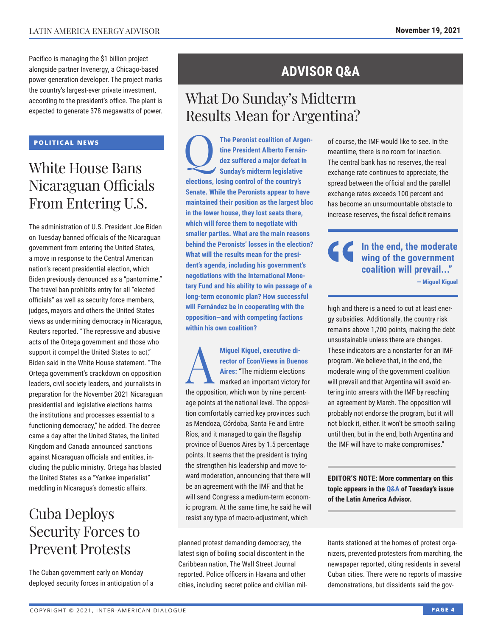Pacífico is managing the \$1 billion project alongside partner Invenergy, a Chicago-based power generation developer. The project marks the country's largest-ever private investment, according to the president's office. The plant is expected to generate 378 megawatts of power.

#### **POLITICAL NEWS**

## White House Bans Nicaraguan Officials From Entering U.S.

The administration of U.S. President Joe Biden on Tuesday banned officials of the Nicaraguan government from entering the United States, a move in response to the Central American nation's recent presidential election, which Biden previously denounced as a "pantomime." The travel ban prohibits entry for all "elected officials" as well as security force members, judges, mayors and others the United States views as undermining democracy in Nicaragua, Reuters reported. "The repressive and abusive acts of the Ortega government and those who support it compel the United States to act," Biden said in the White House statement. "The Ortega government's crackdown on opposition leaders, civil society leaders, and journalists in preparation for the November 2021 Nicaraguan presidential and legislative elections harms the institutions and processes essential to a functioning democracy," he added. The decree came a day after the United States, the United Kingdom and Canada announced sanctions against Nicaraguan officials and entities, including the public ministry. Ortega has blasted the United States as a "Yankee imperialist" meddling in Nicaragua's domestic affairs.

## Cuba Deploys Security Forces to Prevent Protests

The Cuban government early on Monday deployed security forces in anticipation of a

## **ADVISOR Q&A**

## What Do Sunday's Midterm Results Mean for Argentina?

The Peronist coalition of Argen-<br>tine President Alberto Fernán-<br>dez suffered a major defeat in<br>Sundav's midterm legislative **tine President Alberto Fernández suffered a major defeat in Sunday's midterm legislative elections, losing control of the country's Senate. While the Peronists appear to have maintained their position as the largest bloc in the lower house, they lost seats there, which will force them to negotiate with smaller parties. What are the main reasons behind the Peronists' losses in the election? What will the results mean for the president's agenda, including his government's negotiations with the International Monetary Fund and his ability to win passage of a long-term economic plan? How successful will Fernández be in cooperating with the opposition—and with competing factions within his own coalition?**

Miguel Kiguel, executive di-<br>
rector of EconViews in Buen<br>
Aires: "The midterm election<br>
marked an important victory **rector of EconViews in Buenos Aires:** "The midterm elections marked an important victory for the opposition, which won by nine percentage points at the national level. The opposition comfortably carried key provinces such as Mendoza, Córdoba, Santa Fe and Entre Ríos, and it managed to gain the flagship province of Buenos Aires by 1.5 percentage points. It seems that the president is trying the strengthen his leadership and move toward moderation, announcing that there will be an agreement with the IMF and that he will send Congress a medium-term economic program. At the same time, he said he will resist any type of macro-adjustment, which

planned protest demanding democracy, the latest sign of boiling social discontent in the Caribbean nation, The Wall Street Journal reported. Police officers in Havana and other cities, including secret police and civilian milof course, the IMF would like to see. In the meantime, there is no room for inaction. The central bank has no reserves, the real exchange rate continues to appreciate, the spread between the official and the parallel exchange rates exceeds 100 percent and has become an unsurmountable obstacle to increase reserves, the fiscal deficit remains

**In the end, the moderate wing of the government coalition will prevail..."**

**— Miguel Kiguel**

high and there is a need to cut at least energy subsidies. Additionally, the country risk remains above 1,700 points, making the debt unsustainable unless there are changes. These indicators are a nonstarter for an IMF program. We believe that, in the end, the moderate wing of the government coalition will prevail and that Argentina will avoid entering into arrears with the IMF by reaching an agreement by March. The opposition will probably not endorse the program, but it will not block it, either. It won't be smooth sailing until then, but in the end, both Argentina and the IMF will have to make compromises."

**EDITOR'S NOTE: More commentary on this topic appears in th[e Q&A of T](http://www.thedialogue.org/wp-content/uploads/2021/11/LAA211116.pdf)uesday's issue of the Latin America Advisor.**

itants stationed at the homes of protest organizers, prevented protesters from marching, the newspaper reported, citing residents in several Cuban cities. There were no reports of massive demonstrations, but dissidents said the gov-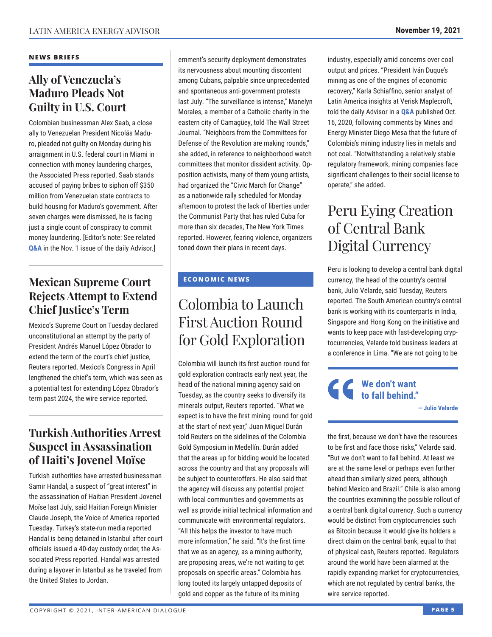#### **NEWS BRIEFS**

### **Ally of Venezuela's Maduro Pleads Not Guilty in U.S. Court**

Colombian businessman Alex Saab, a close ally to Venezuelan President Nicolás Maduro, pleaded not guilty on Monday during his arraignment in U.S. federal court in Miami in connection with money laundering charges, the Associated Press reported. Saab stands accused of paying bribes to siphon off \$350 million from Venezuelan state contracts to build housing for Maduro's government. After seven charges were dismissed, he is facing just a single count of conspiracy to commit money laundering. [Editor's note: See related **[Q&A](http://www.thedialogue.org/wp-content/uploads/2021/11/LAA211101.pdf)** in the Nov. 1 issue of the daily Advisor.]

### **Mexican Supreme Court Rejects Attempt to Extend Chief Justice's Term**

Mexico's Supreme Court on Tuesday declared unconstitutional an attempt by the party of President Andrés Manuel López Obrador to extend the term of the court's chief justice, Reuters reported. Mexico's Congress in April lengthened the chief's term, which was seen as a potential test for extending López Obrador's term past 2024, the wire service reported.

### **Turkish Authorities Arrest Suspect in Assassination of Haiti's Jovenel Moïse**

Turkish authorities have arrested businessman Samir Handal, a suspect of "great interest" in the assassination of Haitian President Jovenel Moïse last July, said Haitian Foreign Minister Claude Joseph, the Voice of America reported Tuesday. Turkey's state-run media reported Handal is being detained in Istanbul after court officials issued a 40-day custody order, the Associated Press reported. Handal was arrested during a layover in Istanbul as he traveled from the United States to Jordan.

ernment's security deployment demonstrates its nervousness about mounting discontent among Cubans, palpable since unprecedented and spontaneous anti-government protests last July. "The surveillance is intense," Manelyn Morales, a member of a Catholic charity in the eastern city of Camagüey, told The Wall Street Journal. "Neighbors from the Committees for Defense of the Revolution are making rounds," she added, in reference to neighborhood watch committees that monitor dissident activity. Opposition activists, many of them young artists, had organized the "Civic March for Change" as a nationwide rally scheduled for Monday afternoon to protest the lack of liberties under the Communist Party that has ruled Cuba for more than six decades, The New York Times reported. However, fearing violence, organizers toned down their plans in recent days.

#### **ECONOMIC NEWS**

## Colombia to Launch First Auction Round for Gold Exploration

Colombia will launch its first auction round for gold exploration contracts early next year, the head of the national mining agency said on Tuesday, as the country seeks to diversify its minerals output, Reuters reported. "What we expect is to have the first mining round for gold at the start of next year," Juan Miguel Durán told Reuters on the sidelines of the Colombia Gold Symposium in Medellín. Durán added that the areas up for bidding would be located across the country and that any proposals will be subject to counteroffers. He also said that the agency will discuss any potential project with local communities and governments as well as provide initial technical information and communicate with environmental regulators. "All this helps the investor to have much more information," he said. "It's the first time that we as an agency, as a mining authority, are proposing areas, we're not waiting to get proposals on specific areas." Colombia has long touted its largely untapped deposits of gold and copper as the future of its mining

industry, especially amid concerns over coal output and prices. "President Iván Duque's mining as one of the engines of economic recovery," Karla Schiaffino, senior analyst of Latin America insights at Verisk Maplecroft, told the daily Advisor in a **[Q&A](http://www.thedialogue.org/wp-content/uploads/2020/10/LAA201016.pdf)** published Oct. 16, 2020, following comments by Mines and Energy Minister Diego Mesa that the future of Colombia's mining industry lies in metals and not coal. "Notwithstanding a relatively stable regulatory framework, mining companies face significant challenges to their social license to operate," she added.

## Peru Eying Creation of Central Bank Digital Currency

Peru is looking to develop a central bank digital currency, the head of the country's central bank, Julio Velarde, said Tuesday, Reuters reported. The South American country's central bank is working with its counterparts in India, Singapore and Hong Kong on the initiative and wants to keep pace with fast-developing cryptocurrencies, Velarde told business leaders at a conference in Lima. "We are not going to be

### **We don't want to fall behind."**

**— Julio Velarde**

the first, because we don't have the resources to be first and face those risks," Velarde said. "But we don't want to fall behind. At least we are at the same level or perhaps even further ahead than similarly sized peers, although behind Mexico and Brazil." Chile is also among the countries examining the possible rollout of a central bank digital currency. Such a currency would be distinct from cryptocurrencies such as Bitcoin because it would give its holders a direct claim on the central bank, equal to that of physical cash, Reuters reported. Regulators around the world have been alarmed at the rapidly expanding market for cryptocurrencies, which are not regulated by central banks, the wire service reported.